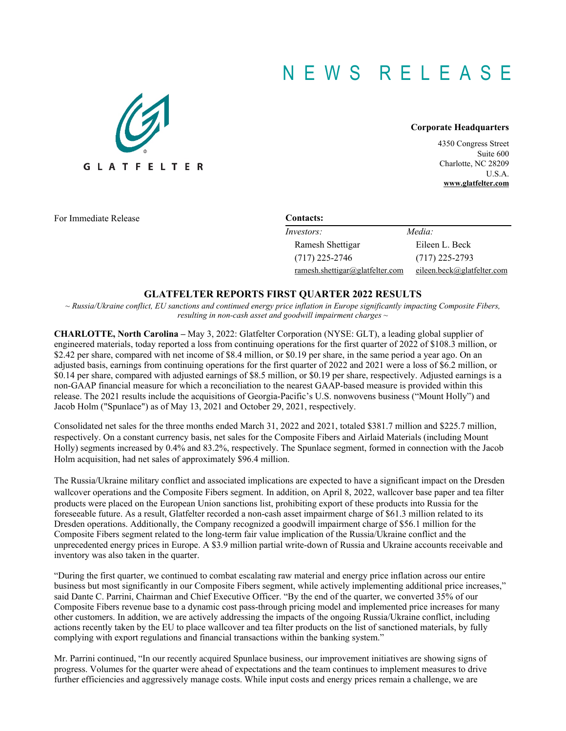# N E W S R E L E A S E



#### **Corporate Headquarters**

4350 Congress Street Suite 600 Charlotte, NC 28209 U.S.A. **www.glatfelter.com**

For Immediate Release **Contacts:** 

| Investors:                      | Media:                     |
|---------------------------------|----------------------------|
| Ramesh Shettigar                | Eileen L. Beck             |
| $(717)$ 225-2746                | $(717)$ 225-2793           |
| ramesh.shettigar@glattelter.com | eileen.beck@glatfelter.com |

# **GLATFELTER REPORTS FIRST QUARTER 2022 RESULTS**

*~ Russia/Ukraine conflict, EU sanctions and continued energy price inflation in Europe significantly impacting Composite Fibers, resulting in non-cash asset and goodwill impairment charges ~*

**CHARLOTTE, North Carolina –** May 3, 2022: Glatfelter Corporation (NYSE: GLT), a leading global supplier of engineered materials, today reported a loss from continuing operations for the first quarter of 2022 of \$108.3 million, or \$2.42 per share, compared with net income of \$8.4 million, or \$0.19 per share, in the same period a year ago. On an adjusted basis, earnings from continuing operations for the first quarter of 2022 and 2021 were a loss of \$6.2 million, or \$0.14 per share, compared with adjusted earnings of \$8.5 million, or \$0.19 per share, respectively. Adjusted earnings is a non-GAAP financial measure for which a reconciliation to the nearest GAAP-based measure is provided within this release. The 2021 results include the acquisitions of Georgia-Pacific's U.S. nonwovens business ("Mount Holly") and Jacob Holm ("Spunlace") as of May 13, 2021 and October 29, 2021, respectively.

Consolidated net sales for the three months ended March 31, 2022 and 2021, totaled \$381.7 million and \$225.7 million, respectively. On a constant currency basis, net sales for the Composite Fibers and Airlaid Materials (including Mount Holly) segments increased by 0.4% and 83.2%, respectively. The Spunlace segment, formed in connection with the Jacob Holm acquisition, had net sales of approximately \$96.4 million.

The Russia/Ukraine military conflict and associated implications are expected to have a significant impact on the Dresden wallcover operations and the Composite Fibers segment. In addition, on April 8, 2022, wallcover base paper and tea filter products were placed on the European Union sanctions list, prohibiting export of these products into Russia for the foreseeable future. As a result, Glatfelter recorded a non-cash asset impairment charge of \$61.3 million related to its Dresden operations. Additionally, the Company recognized a goodwill impairment charge of \$56.1 million for the Composite Fibers segment related to the long-term fair value implication of the Russia/Ukraine conflict and the unprecedented energy prices in Europe. A \$3.9 million partial write-down of Russia and Ukraine accounts receivable and inventory was also taken in the quarter.

"During the first quarter, we continued to combat escalating raw material and energy price inflation across our entire business but most significantly in our Composite Fibers segment, while actively implementing additional price increases," said Dante C. Parrini, Chairman and Chief Executive Officer. "By the end of the quarter, we converted 35% of our Composite Fibers revenue base to a dynamic cost pass-through pricing model and implemented price increases for many other customers. In addition, we are actively addressing the impacts of the ongoing Russia/Ukraine conflict, including actions recently taken by the EU to place wallcover and tea filter products on the list of sanctioned materials, by fully complying with export regulations and financial transactions within the banking system."

Mr. Parrini continued, "In our recently acquired Spunlace business, our improvement initiatives are showing signs of progress. Volumes for the quarter were ahead of expectations and the team continues to implement measures to drive further efficiencies and aggressively manage costs. While input costs and energy prices remain a challenge, we are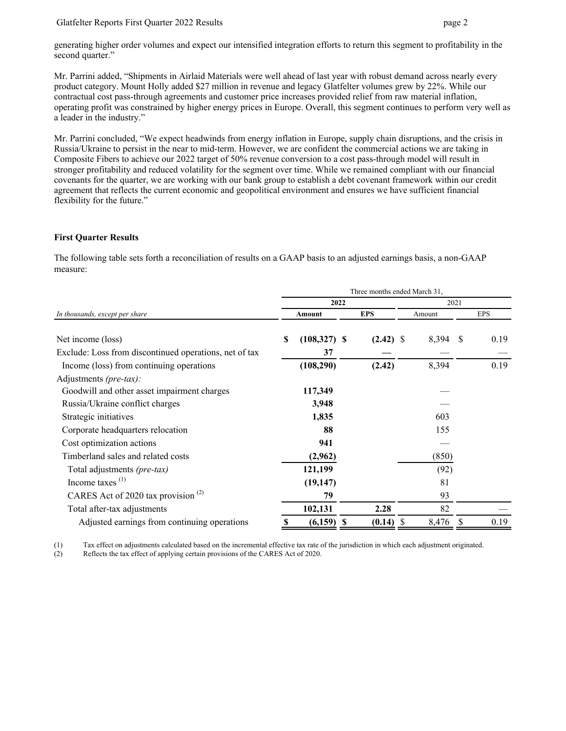#### Glatfelter Reports First Quarter 2022 Results **page 2** 2

generating higher order volumes and expect our intensified integration efforts to return this segment to profitability in the second quarter."

Mr. Parrini added, "Shipments in Airlaid Materials were well ahead of last year with robust demand across nearly every product category. Mount Holly added \$27 million in revenue and legacy Glatfelter volumes grew by 22%. While our contractual cost pass-through agreements and customer price increases provided relief from raw material inflation, operating profit was constrained by higher energy prices in Europe. Overall, this segment continues to perform very well as a leader in the industry."

Mr. Parrini concluded, "We expect headwinds from energy inflation in Europe, supply chain disruptions, and the crisis in Russia/Ukraine to persist in the near to mid-term. However, we are confident the commercial actions we are taking in Composite Fibers to achieve our 2022 target of 50% revenue conversion to a cost pass-through model will result in stronger profitability and reduced volatility for the segment over time. While we remained compliant with our financial covenants for the quarter, we are working with our bank group to establish a debt covenant framework within our credit agreement that reflects the current economic and geopolitical environment and ensures we have sufficient financial flexibility for the future."

#### **First Quarter Results**

The following table sets forth a reconciliation of results on a GAAP basis to an adjusted earnings basis, a non-GAAP measure:

| Three months ended March 31,                           |                     |         |    |             |  |        |               |            |
|--------------------------------------------------------|---------------------|---------|----|-------------|--|--------|---------------|------------|
|                                                        |                     | 2022    |    |             |  |        | 2021          |            |
| In thousands, except per share                         | Amount              |         |    | <b>EPS</b>  |  | Amount |               | <b>EPS</b> |
| Net income (loss)                                      | S<br>$(108,327)$ \$ |         |    | $(2.42)$ \$ |  | 8,394  | <sup>\$</sup> | 0.19       |
| Exclude: Loss from discontinued operations, net of tax |                     | 37      |    |             |  |        |               |            |
| Income (loss) from continuing operations               | (108, 290)          |         |    | (2.42)      |  | 8,394  |               | 0.19       |
| Adjustments (pre-tax):                                 |                     |         |    |             |  |        |               |            |
| Goodwill and other asset impairment charges            | 117,349             |         |    |             |  |        |               |            |
| Russia/Ukraine conflict charges                        |                     | 3,948   |    |             |  |        |               |            |
| Strategic initiatives                                  |                     | 1,835   |    |             |  | 603    |               |            |
| Corporate headquarters relocation                      |                     | 88      |    |             |  | 155    |               |            |
| Cost optimization actions                              |                     | 941     |    |             |  |        |               |            |
| Timberland sales and related costs                     | (2,962)             |         |    |             |  | (850)  |               |            |
| Total adjustments (pre-tax)                            | 121,199             |         |    |             |  | (92)   |               |            |
| Income taxes $(1)$                                     | (19, 147)           |         |    |             |  | 81     |               |            |
| CARES Act of 2020 tax provision $(2)$                  |                     | 79      |    |             |  | 93     |               |            |
| Total after-tax adjustments                            | 102,131             |         |    | 2.28        |  | 82     |               |            |
| Adjusted earnings from continuing operations           | S                   | (6,159) | -S | (0.14)      |  | 8,476  |               | 0.19       |

(1) Tax effect on adjustments calculated based on the incremental effective tax rate of the jurisdiction in which each adjustment originated.

(2) Reflects the tax effect of applying certain provisions of the CARES Act of 2020.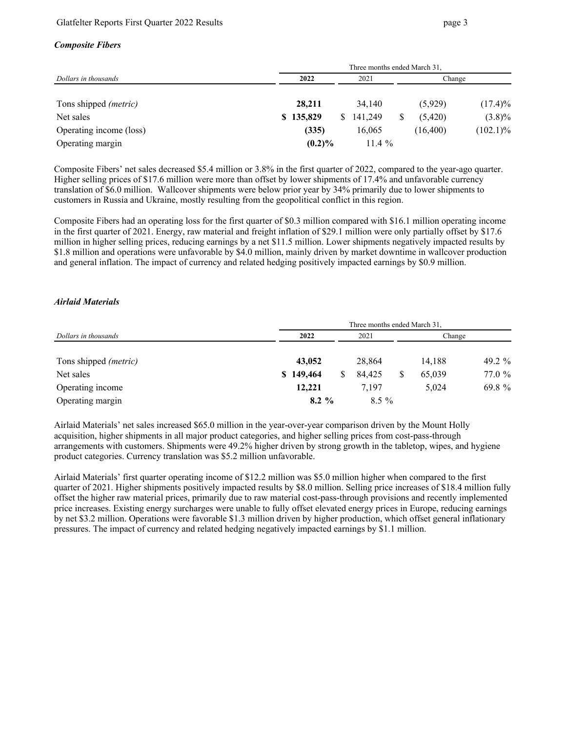#### *Composite Fibers*

|                                               | Three months ended March 31, |      |           |  |           |             |  |  |
|-----------------------------------------------|------------------------------|------|-----------|--|-----------|-------------|--|--|
| Dollars in thousands<br>Tons shipped (metric) | 2022                         | 2021 |           |  | Change    |             |  |  |
|                                               | 28,211                       |      | 34.140    |  | (5,929)   | $(17.4)\%$  |  |  |
| Net sales                                     | \$135,829                    | S.   | 141,249   |  | (5.420)   | $(3.8)\%$   |  |  |
| Operating income (loss)                       | (335)                        |      | 16,065    |  | (16, 400) | $(102.1)\%$ |  |  |
| Operating margin                              | $(0.2)\%$                    |      | $11.4 \%$ |  |           |             |  |  |

Composite Fibers' net sales decreased \$5.4 million or 3.8% in the first quarter of 2022, compared to the year-ago quarter. Higher selling prices of \$17.6 million were more than offset by lower shipments of 17.4% and unfavorable currency translation of \$6.0 million. Wallcover shipments were below prior year by 34% primarily due to lower shipments to customers in Russia and Ukraine, mostly resulting from the geopolitical conflict in this region.

Composite Fibers had an operating loss for the first quarter of \$0.3 million compared with \$16.1 million operating income in the first quarter of 2021. Energy, raw material and freight inflation of \$29.1 million were only partially offset by \$17.6 million in higher selling prices, reducing earnings by a net \$11.5 million. Lower shipments negatively impacted results by \$1.8 million and operations were unfavorable by \$4.0 million, mainly driven by market downtime in wallcover production and general inflation. The impact of currency and related hedging positively impacted earnings by \$0.9 million.

#### *Airlaid Materials*

|                              | Three months ended March 31, |         |        |          |  |  |  |
|------------------------------|------------------------------|---------|--------|----------|--|--|--|
| Dollars in thousands         | 2022                         | 2021    | Change |          |  |  |  |
| Tons shipped <i>(metric)</i> | 43,052                       | 28,864  | 14,188 | 49.2 $%$ |  |  |  |
| Net sales                    | \$149,464                    | 84.425  | 65,039 | 77.0 %   |  |  |  |
| Operating income             | 12,221                       | 7,197   | 5,024  | 69.8 $%$ |  |  |  |
| Operating margin             | $8.2\%$                      | $8.5\%$ |        |          |  |  |  |

Airlaid Materials' net sales increased \$65.0 million in the year-over-year comparison driven by the Mount Holly acquisition, higher shipments in all major product categories, and higher selling prices from cost-pass-through arrangements with customers. Shipments were 49.2% higher driven by strong growth in the tabletop, wipes, and hygiene product categories. Currency translation was \$5.2 million unfavorable.

Airlaid Materials' first quarter operating income of \$12.2 million was \$5.0 million higher when compared to the first quarter of 2021. Higher shipments positively impacted results by \$8.0 million. Selling price increases of \$18.4 million fully offset the higher raw material prices, primarily due to raw material cost-pass-through provisions and recently implemented price increases. Existing energy surcharges were unable to fully offset elevated energy prices in Europe, reducing earnings by net \$3.2 million. Operations were favorable \$1.3 million driven by higher production, which offset general inflationary pressures. The impact of currency and related hedging negatively impacted earnings by \$1.1 million.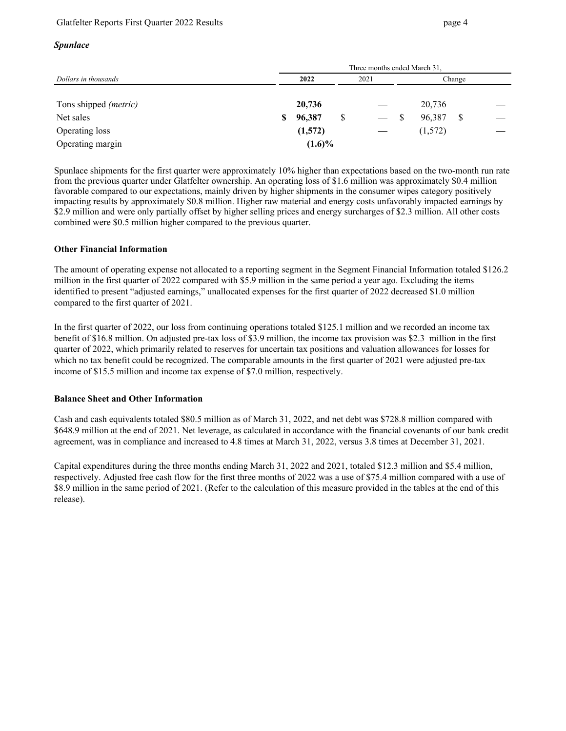### Glatfelter Reports First Quarter 2022 Results **page 4** and page 4

#### *Spunlace*

|                       | Three months ended March 31. |           |      |            |        |         |   |  |
|-----------------------|------------------------------|-----------|------|------------|--------|---------|---|--|
| Dollars in thousands  | 2022                         |           | 2021 |            | Change |         |   |  |
| Tons shipped (metric) |                              | 20,736    |      |            |        | 20,736  |   |  |
| Net sales             | \$                           | 96,387    |      | $\sim$ $-$ |        | 96,387  | S |  |
| Operating loss        |                              | (1,572)   |      |            |        | (1,572) |   |  |
| Operating margin      |                              | $(1.6)\%$ |      |            |        |         |   |  |

Spunlace shipments for the first quarter were approximately 10% higher than expectations based on the two-month run rate from the previous quarter under Glatfelter ownership. An operating loss of \$1.6 million was approximately \$0.4 million favorable compared to our expectations, mainly driven by higher shipments in the consumer wipes category positively impacting results by approximately \$0.8 million. Higher raw material and energy costs unfavorably impacted earnings by \$2.9 million and were only partially offset by higher selling prices and energy surcharges of \$2.3 million. All other costs combined were \$0.5 million higher compared to the previous quarter.

#### **Other Financial Information**

The amount of operating expense not allocated to a reporting segment in the Segment Financial Information totaled \$126.2 million in the first quarter of 2022 compared with \$5.9 million in the same period a year ago. Excluding the items identified to present "adjusted earnings," unallocated expenses for the first quarter of 2022 decreased \$1.0 million compared to the first quarter of 2021.

In the first quarter of 2022, our loss from continuing operations totaled \$125.1 million and we recorded an income tax benefit of \$16.8 million. On adjusted pre-tax loss of \$3.9 million, the income tax provision was \$2.3 million in the first quarter of 2022, which primarily related to reserves for uncertain tax positions and valuation allowances for losses for which no tax benefit could be recognized. The comparable amounts in the first quarter of 2021 were adjusted pre-tax income of \$15.5 million and income tax expense of \$7.0 million, respectively.

#### **Balance Sheet and Other Information**

Cash and cash equivalents totaled \$80.5 million as of March 31, 2022, and net debt was \$728.8 million compared with \$648.9 million at the end of 2021. Net leverage, as calculated in accordance with the financial covenants of our bank credit agreement, was in compliance and increased to 4.8 times at March 31, 2022, versus 3.8 times at December 31, 2021.

Capital expenditures during the three months ending March 31, 2022 and 2021, totaled \$12.3 million and \$5.4 million, respectively. Adjusted free cash flow for the first three months of 2022 was a use of \$75.4 million compared with a use of \$8.9 million in the same period of 2021. (Refer to the calculation of this measure provided in the tables at the end of this release).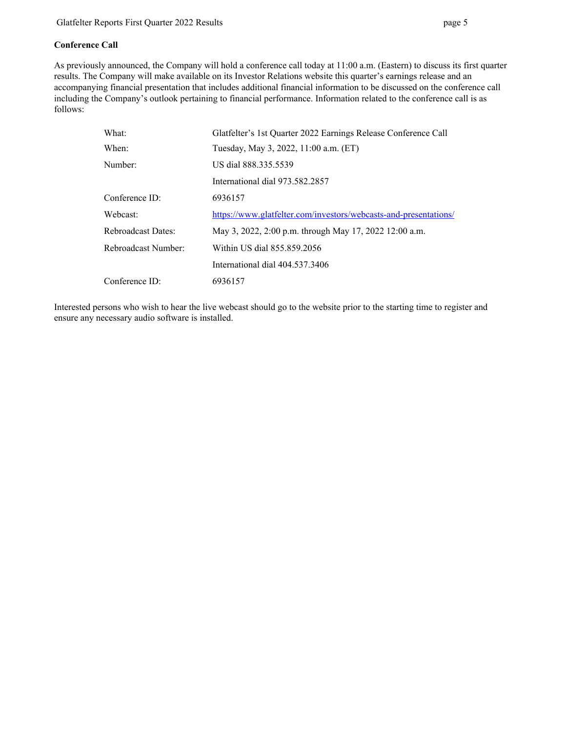### **Conference Call**

As previously announced, the Company will hold a conference call today at 11:00 a.m. (Eastern) to discuss its first quarter results. The Company will make available on its Investor Relations website this quarter's earnings release and an accompanying financial presentation that includes additional financial information to be discussed on the conference call including the Company's outlook pertaining to financial performance. Information related to the conference call is as follows:

| What:               | Glatfelter's 1st Quarter 2022 Earnings Release Conference Call   |
|---------------------|------------------------------------------------------------------|
| When:               | Tuesday, May 3, 2022, 11:00 a.m. (ET)                            |
| Number:             | US dial 888.335.5539                                             |
|                     | International dial 973.582.2857                                  |
| Conference ID:      | 6936157                                                          |
| Webcast:            | https://www.glatfelter.com/investors/webcasts-and-presentations/ |
| Rebroadcast Dates:  | May 3, 2022, 2:00 p.m. through May 17, 2022 12:00 a.m.           |
| Rebroadcast Number: | Within US dial 855.859.2056                                      |
|                     | International dial 404.537.3406                                  |
| Conference ID:      | 6936157                                                          |

Interested persons who wish to hear the live webcast should go to the website prior to the starting time to register and ensure any necessary audio software is installed.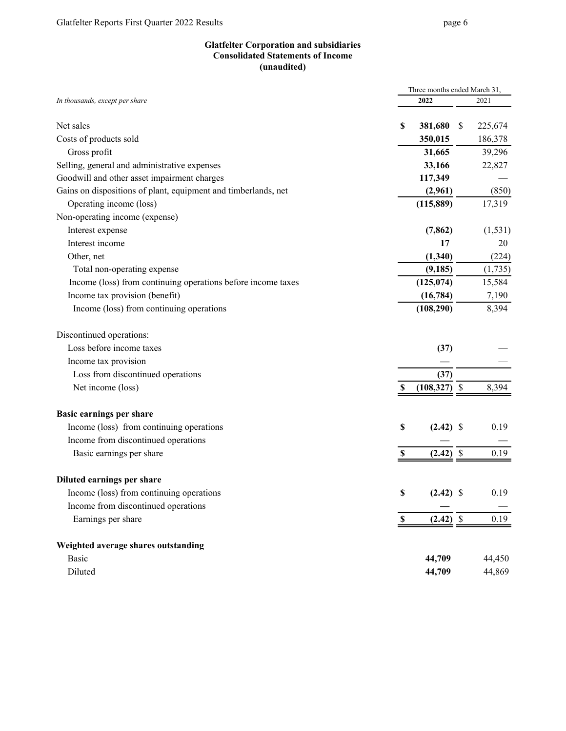### **Glatfelter Corporation and subsidiaries Consolidated Statements of Income (unaudited)**

|                                                                | Three months ended March 31,           |      |          |  |  |  |
|----------------------------------------------------------------|----------------------------------------|------|----------|--|--|--|
| In thousands, except per share                                 | 2022                                   |      | 2021     |  |  |  |
| Net sales                                                      | \$<br>381,680                          | \$   | 225,674  |  |  |  |
| Costs of products sold                                         | 350,015                                |      | 186,378  |  |  |  |
| Gross profit                                                   | 31,665                                 |      | 39,296   |  |  |  |
| Selling, general and administrative expenses                   | 33,166                                 |      | 22,827   |  |  |  |
| Goodwill and other asset impairment charges                    | 117,349                                |      |          |  |  |  |
| Gains on dispositions of plant, equipment and timberlands, net | (2,961)                                |      | (850)    |  |  |  |
| Operating income (loss)                                        | (115, 889)                             |      | 17,319   |  |  |  |
| Non-operating income (expense)                                 |                                        |      |          |  |  |  |
| Interest expense                                               | (7, 862)                               |      | (1, 531) |  |  |  |
| Interest income                                                | 17                                     |      | 20       |  |  |  |
| Other, net                                                     | (1,340)                                |      | (224)    |  |  |  |
| Total non-operating expense                                    | (9, 185)                               |      | (1,735)  |  |  |  |
| Income (loss) from continuing operations before income taxes   | (125, 074)                             |      | 15,584   |  |  |  |
| Income tax provision (benefit)                                 | (16, 784)                              |      | 7,190    |  |  |  |
| Income (loss) from continuing operations                       | (108, 290)                             |      | 8,394    |  |  |  |
| Discontinued operations:                                       |                                        |      |          |  |  |  |
| Loss before income taxes                                       | (37)                                   |      |          |  |  |  |
| Income tax provision                                           |                                        |      |          |  |  |  |
| Loss from discontinued operations                              | (37)                                   |      |          |  |  |  |
| Net income (loss)                                              | (108, 327)<br>S                        | - \$ | 8,394    |  |  |  |
| <b>Basic earnings per share</b>                                |                                        |      |          |  |  |  |
| Income (loss) from continuing operations                       | \$<br>$(2.42)$ \$                      |      | 0.19     |  |  |  |
| Income from discontinued operations                            |                                        |      |          |  |  |  |
| Basic earnings per share                                       | $(2.42)$ \$<br>\$                      |      | 0.19     |  |  |  |
| Diluted earnings per share                                     |                                        |      |          |  |  |  |
| Income (loss) from continuing operations                       | \$<br>$(2.42)$ \$                      |      | 0.19     |  |  |  |
| Income from discontinued operations                            |                                        |      |          |  |  |  |
| Earnings per share                                             | $(2.42)$ \$<br>$\overline{\mathbf{S}}$ |      | 0.19     |  |  |  |
| Weighted average shares outstanding                            |                                        |      |          |  |  |  |
| Basic                                                          | 44,709                                 |      | 44,450   |  |  |  |
| Diluted                                                        | 44,709                                 |      | 44,869   |  |  |  |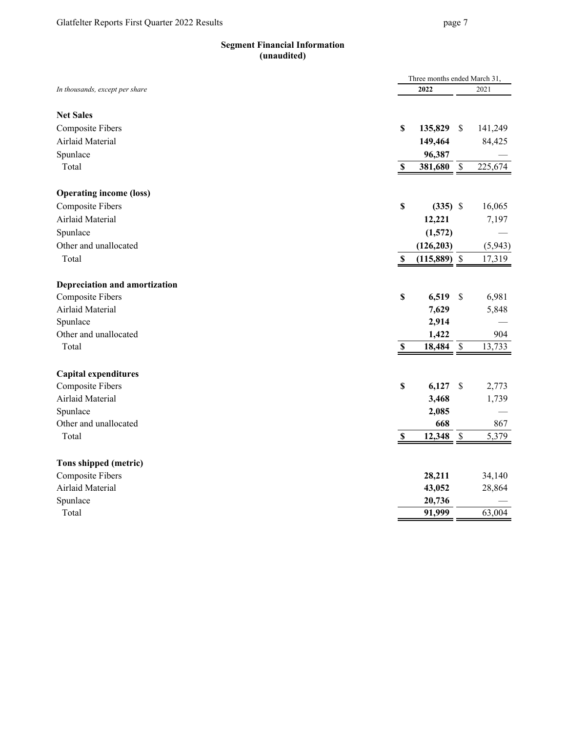# **Segment Financial Information (unaudited)**

|                                | Three months ended March 31, |                |               |         |
|--------------------------------|------------------------------|----------------|---------------|---------|
| In thousands, except per share |                              | 2022           |               | 2021    |
|                                |                              |                |               |         |
| <b>Net Sales</b>               |                              |                |               |         |
| <b>Composite Fibers</b>        | $\boldsymbol{\mathsf{S}}$    | 135,829        | \$            | 141,249 |
| Airlaid Material               |                              | 149,464        |               | 84,425  |
| Spunlace                       |                              | 96,387         |               |         |
| Total                          | \$                           | 381,680        | \$            | 225,674 |
| <b>Operating income (loss)</b> |                              |                |               |         |
| <b>Composite Fibers</b>        | $\mathbf S$                  | $(335)$ \$     |               | 16,065  |
| Airlaid Material               |                              | 12,221         |               | 7,197   |
| Spunlace                       |                              | (1,572)        |               |         |
| Other and unallocated          |                              | (126, 203)     |               | (5,943) |
| Total                          | $\mathbb S$                  | $(115,889)$ \$ |               | 17,319  |
|                                |                              |                |               |         |
| Depreciation and amortization  |                              |                |               |         |
| <b>Composite Fibers</b>        | $\mathbb S$                  | 6,519          | $\mathcal{S}$ | 6,981   |
| Airlaid Material               |                              | 7,629          |               | 5,848   |
| Spunlace                       |                              | 2,914          |               |         |
| Other and unallocated          |                              | 1,422          |               | 904     |
| Total                          | $\mathbf S$                  | 18,484         | $\mathsf{\$}$ | 13,733  |
|                                |                              |                |               |         |
| <b>Capital expenditures</b>    |                              |                |               |         |
| <b>Composite Fibers</b>        | $\mathbf S$                  | 6,127          | \$            | 2,773   |
| Airlaid Material               |                              | 3,468          |               | 1,739   |
| Spunlace                       |                              | 2,085          |               |         |
| Other and unallocated          |                              | 668            |               | 867     |
| Total                          | \$                           | 12,348         | \$            | 5,379   |
| Tons shipped (metric)          |                              |                |               |         |
| <b>Composite Fibers</b>        |                              | 28,211         |               | 34,140  |
| Airlaid Material               |                              | 43,052         |               | 28,864  |
| Spunlace                       |                              | 20,736         |               |         |
| Total                          |                              | 91,999         |               | 63,004  |
|                                |                              |                |               |         |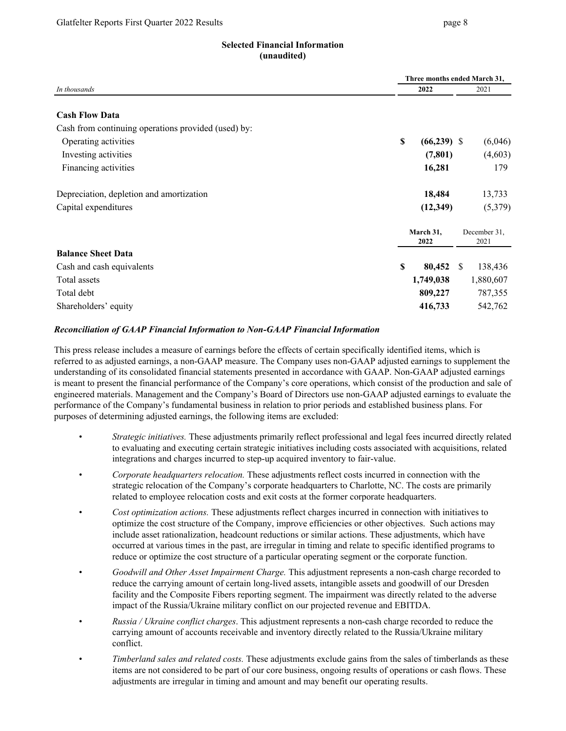# **Selected Financial Information (unaudited)**

|                                                     | Three months ended March 31, |                   |              |                      |  |  |
|-----------------------------------------------------|------------------------------|-------------------|--------------|----------------------|--|--|
| In thousands                                        | 2022                         |                   |              | 2021                 |  |  |
| <b>Cash Flow Data</b>                               |                              |                   |              |                      |  |  |
| Cash from continuing operations provided (used) by: |                              |                   |              |                      |  |  |
| Operating activities                                | S                            | $(66, 239)$ \$    |              | (6,046)              |  |  |
| Investing activities                                |                              | (7, 801)          |              | (4,603)              |  |  |
| Financing activities                                |                              | 16,281            |              | 179                  |  |  |
| Depreciation, depletion and amortization            |                              | 18,484            |              | 13,733               |  |  |
| Capital expenditures                                |                              | (12, 349)         |              | (5,379)              |  |  |
|                                                     |                              | March 31,<br>2022 |              | December 31,<br>2021 |  |  |
| <b>Balance Sheet Data</b>                           |                              |                   |              |                      |  |  |
| Cash and cash equivalents                           | $\mathbf S$                  | 80,452            | <sup>S</sup> | 138,436              |  |  |
| Total assets                                        |                              | 1,749,038         |              | 1,880,607            |  |  |
| Total debt                                          |                              | 809,227           |              | 787,355              |  |  |
| Shareholders' equity                                |                              | 416,733           |              | 542,762              |  |  |

# *Reconciliation of GAAP Financial Information to Non-GAAP Financial Information*

This press release includes a measure of earnings before the effects of certain specifically identified items, which is referred to as adjusted earnings, a non-GAAP measure. The Company uses non-GAAP adjusted earnings to supplement the understanding of its consolidated financial statements presented in accordance with GAAP. Non-GAAP adjusted earnings is meant to present the financial performance of the Company's core operations, which consist of the production and sale of engineered materials. Management and the Company's Board of Directors use non-GAAP adjusted earnings to evaluate the performance of the Company's fundamental business in relation to prior periods and established business plans. For purposes of determining adjusted earnings, the following items are excluded:

- *Strategic initiatives.* These adjustments primarily reflect professional and legal fees incurred directly related to evaluating and executing certain strategic initiatives including costs associated with acquisitions, related integrations and charges incurred to step-up acquired inventory to fair-value.
- *Corporate headquarters relocation.* These adjustments reflect costs incurred in connection with the strategic relocation of the Company's corporate headquarters to Charlotte, NC. The costs are primarily related to employee relocation costs and exit costs at the former corporate headquarters.
- *Cost optimization actions.* These adjustments reflect charges incurred in connection with initiatives to optimize the cost structure of the Company, improve efficiencies or other objectives. Such actions may include asset rationalization, headcount reductions or similar actions. These adjustments, which have occurred at various times in the past, are irregular in timing and relate to specific identified programs to reduce or optimize the cost structure of a particular operating segment or the corporate function.
- *Goodwill and Other Asset Impairment Charge.* This adjustment represents a non-cash charge recorded to reduce the carrying amount of certain long-lived assets, intangible assets and goodwill of our Dresden facility and the Composite Fibers reporting segment. The impairment was directly related to the adverse impact of the Russia/Ukraine military conflict on our projected revenue and EBITDA.
- *Russia / Ukraine conflict charges*. This adjustment represents a non-cash charge recorded to reduce the carrying amount of accounts receivable and inventory directly related to the Russia/Ukraine military conflict.
- *Timberland sales and related costs.* These adjustments exclude gains from the sales of timberlands as these items are not considered to be part of our core business, ongoing results of operations or cash flows. These adjustments are irregular in timing and amount and may benefit our operating results.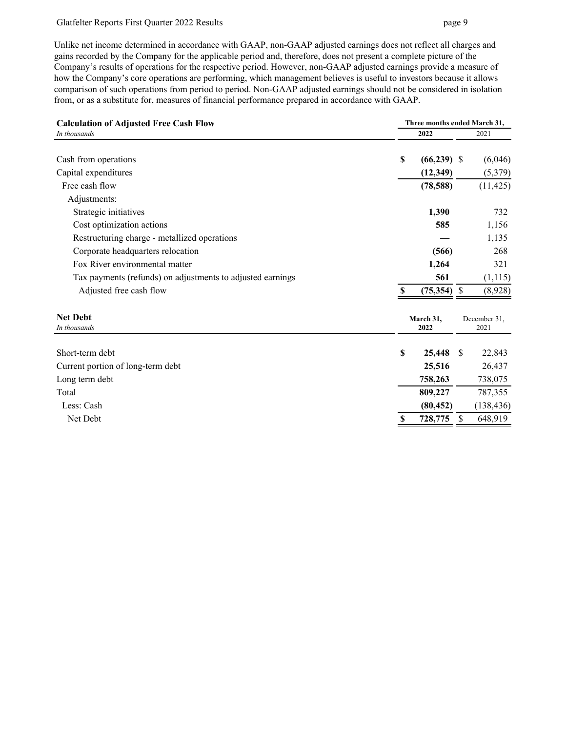#### Glatfelter Reports First Quarter 2022 Results page 9

Unlike net income determined in accordance with GAAP, non-GAAP adjusted earnings does not reflect all charges and gains recorded by the Company for the applicable period and, therefore, does not present a complete picture of the Company's results of operations for the respective period. However, non-GAAP adjusted earnings provide a measure of how the Company's core operations are performing, which management believes is useful to investors because it allows comparison of such operations from period to period. Non-GAAP adjusted earnings should not be considered in isolation from, or as a substitute for, measures of financial performance prepared in accordance with GAAP.

| 2022<br>2021<br>In thousands<br>Cash from operations<br>S<br>$(66, 239)$ \$<br>Capital expenditures<br>(12, 349)<br>(5,379)<br>Free cash flow<br>(11, 425)<br>(78, 588)<br>Adjustments:<br>1,390<br>732<br>Strategic initiatives<br>1,156<br>Cost optimization actions<br>585<br>1,135<br>Restructuring charge - metallized operations<br>Corporate headquarters relocation<br>(566)<br>268<br>Fox River environmental matter<br>1,264<br>321<br>561<br>(1, 115)<br>Tax payments (refunds) on adjustments to adjusted earnings<br>Adjusted free cash flow<br>$(75,354)$ \$<br>(8,928)<br>-S<br><b>Net Debt</b><br>March 31,<br>December 31,<br>2021<br>In thousands<br>2022<br>Short-term debt<br>25,448<br>S<br>22,843<br>\$.<br>Current portion of long-term debt<br>25,516<br>26,437<br>Long term debt<br>758,263<br>738,075<br>809,227<br>Total<br>787,355<br>Less: Cash<br>(138, 436)<br>(80, 452)<br>Net Debt<br>728,775<br>648,919<br>\$. | <b>Calculation of Adjusted Free Cash Flow</b> | Three months ended March 31, |  |  |         |  |  |
|--------------------------------------------------------------------------------------------------------------------------------------------------------------------------------------------------------------------------------------------------------------------------------------------------------------------------------------------------------------------------------------------------------------------------------------------------------------------------------------------------------------------------------------------------------------------------------------------------------------------------------------------------------------------------------------------------------------------------------------------------------------------------------------------------------------------------------------------------------------------------------------------------------------------------------------------------|-----------------------------------------------|------------------------------|--|--|---------|--|--|
|                                                                                                                                                                                                                                                                                                                                                                                                                                                                                                                                                                                                                                                                                                                                                                                                                                                                                                                                                  |                                               |                              |  |  |         |  |  |
|                                                                                                                                                                                                                                                                                                                                                                                                                                                                                                                                                                                                                                                                                                                                                                                                                                                                                                                                                  |                                               |                              |  |  | (6,046) |  |  |
|                                                                                                                                                                                                                                                                                                                                                                                                                                                                                                                                                                                                                                                                                                                                                                                                                                                                                                                                                  |                                               |                              |  |  |         |  |  |
|                                                                                                                                                                                                                                                                                                                                                                                                                                                                                                                                                                                                                                                                                                                                                                                                                                                                                                                                                  |                                               |                              |  |  |         |  |  |
|                                                                                                                                                                                                                                                                                                                                                                                                                                                                                                                                                                                                                                                                                                                                                                                                                                                                                                                                                  |                                               |                              |  |  |         |  |  |
|                                                                                                                                                                                                                                                                                                                                                                                                                                                                                                                                                                                                                                                                                                                                                                                                                                                                                                                                                  |                                               |                              |  |  |         |  |  |
|                                                                                                                                                                                                                                                                                                                                                                                                                                                                                                                                                                                                                                                                                                                                                                                                                                                                                                                                                  |                                               |                              |  |  |         |  |  |
|                                                                                                                                                                                                                                                                                                                                                                                                                                                                                                                                                                                                                                                                                                                                                                                                                                                                                                                                                  |                                               |                              |  |  |         |  |  |
|                                                                                                                                                                                                                                                                                                                                                                                                                                                                                                                                                                                                                                                                                                                                                                                                                                                                                                                                                  |                                               |                              |  |  |         |  |  |
|                                                                                                                                                                                                                                                                                                                                                                                                                                                                                                                                                                                                                                                                                                                                                                                                                                                                                                                                                  |                                               |                              |  |  |         |  |  |
|                                                                                                                                                                                                                                                                                                                                                                                                                                                                                                                                                                                                                                                                                                                                                                                                                                                                                                                                                  |                                               |                              |  |  |         |  |  |
|                                                                                                                                                                                                                                                                                                                                                                                                                                                                                                                                                                                                                                                                                                                                                                                                                                                                                                                                                  |                                               |                              |  |  |         |  |  |
|                                                                                                                                                                                                                                                                                                                                                                                                                                                                                                                                                                                                                                                                                                                                                                                                                                                                                                                                                  |                                               |                              |  |  |         |  |  |
|                                                                                                                                                                                                                                                                                                                                                                                                                                                                                                                                                                                                                                                                                                                                                                                                                                                                                                                                                  |                                               |                              |  |  |         |  |  |
|                                                                                                                                                                                                                                                                                                                                                                                                                                                                                                                                                                                                                                                                                                                                                                                                                                                                                                                                                  |                                               |                              |  |  |         |  |  |
|                                                                                                                                                                                                                                                                                                                                                                                                                                                                                                                                                                                                                                                                                                                                                                                                                                                                                                                                                  |                                               |                              |  |  |         |  |  |
|                                                                                                                                                                                                                                                                                                                                                                                                                                                                                                                                                                                                                                                                                                                                                                                                                                                                                                                                                  |                                               |                              |  |  |         |  |  |
|                                                                                                                                                                                                                                                                                                                                                                                                                                                                                                                                                                                                                                                                                                                                                                                                                                                                                                                                                  |                                               |                              |  |  |         |  |  |
|                                                                                                                                                                                                                                                                                                                                                                                                                                                                                                                                                                                                                                                                                                                                                                                                                                                                                                                                                  |                                               |                              |  |  |         |  |  |
|                                                                                                                                                                                                                                                                                                                                                                                                                                                                                                                                                                                                                                                                                                                                                                                                                                                                                                                                                  |                                               |                              |  |  |         |  |  |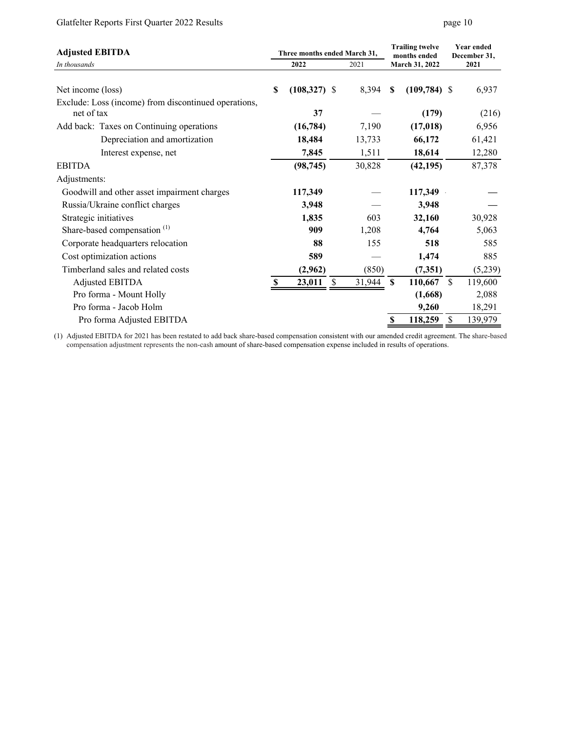# Glatfelter Reports First Quarter 2022 Results page 10

| <b>Adjusted EBITDA</b>                                             |   | Three months ended March 31, |   |           |          | <b>Trailing twelve</b><br>months ended | <b>Year ended</b><br>December 31, |         |
|--------------------------------------------------------------------|---|------------------------------|---|-----------|----------|----------------------------------------|-----------------------------------|---------|
| In thousands                                                       |   | 2022                         |   | 2021      |          | March 31, 2022                         |                                   | 2021    |
| Net income (loss)                                                  | S | $(108,327)$ \$               |   | 8,394     | <b>S</b> | $(109,784)$ \$                         |                                   | 6,937   |
| Exclude: Loss (income) from discontinued operations,<br>net of tax |   | 37                           |   |           |          | (179)                                  |                                   | (216)   |
| Add back: Taxes on Continuing operations                           |   | (16,784)                     |   | 7,190     |          | (17, 018)                              |                                   | 6,956   |
| Depreciation and amortization                                      |   | 18,484                       |   | 13,733    |          | 66,172                                 |                                   | 61,421  |
| Interest expense, net                                              |   | 7,845                        |   | 1,511     |          | 18,614                                 |                                   | 12,280  |
| <b>EBITDA</b>                                                      |   | (98, 745)                    |   | 30,828    |          | (42, 195)                              |                                   | 87,378  |
| Adjustments:                                                       |   |                              |   |           |          |                                        |                                   |         |
| Goodwill and other asset impairment charges                        |   | 117,349                      |   |           |          | 117,349                                |                                   |         |
| Russia/Ukraine conflict charges                                    |   | 3,948                        |   |           |          | 3,948                                  |                                   |         |
| Strategic initiatives                                              |   | 1,835                        |   | 603       |          | 32,160                                 |                                   | 30,928  |
| Share-based compensation <sup>(1)</sup>                            |   | 909                          |   | 1,208     |          | 4,764                                  |                                   | 5,063   |
| Corporate headquarters relocation                                  |   | 88                           |   | 155       |          | 518                                    |                                   | 585     |
| Cost optimization actions                                          |   | 589                          |   |           |          | 1,474                                  |                                   | 885     |
| Timberland sales and related costs                                 |   | (2,962)                      |   | (850)     |          | (7,351)                                |                                   | (5,239) |
| Adjusted EBITDA                                                    |   | 23,011                       | S | 31,944 \$ |          | 110,667                                | <sup>\$</sup>                     | 119,600 |
| Pro forma - Mount Holly                                            |   |                              |   |           |          | (1,668)                                |                                   | 2,088   |
| Pro forma - Jacob Holm                                             |   |                              |   |           |          | 9,260                                  |                                   | 18,291  |
| Pro forma Adjusted EBITDA                                          |   |                              |   |           | \$       | 118,259                                | \$                                | 139,979 |

(1) Adjusted EBITDA for 2021 has been restated to add back share-based compensation consistent with our amended credit agreement. The share-based compensation adjustment represents the non-cash amount of share-based compensation expense included in results of operations.